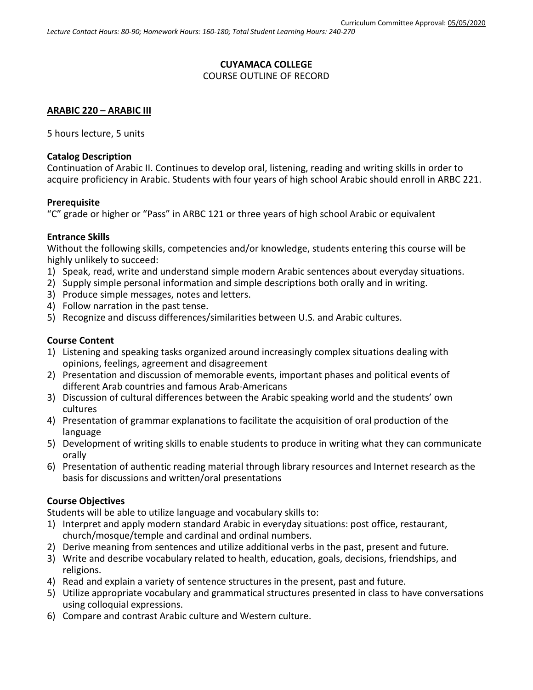# **CUYAMACA COLLEGE**

# COURSE OUTLINE OF RECORD

### **ARABIC 220 – ARABIC III**

5 hours lecture, 5 units

#### **Catalog Description**

Continuation of Arabic II. Continues to develop oral, listening, reading and writing skills in order to acquire proficiency in Arabic. Students with four years of high school Arabic should enroll in ARBC 221.

#### **Prerequisite**

"C" grade or higher or "Pass" in ARBC 121 or three years of high school Arabic or equivalent

#### **Entrance Skills**

Without the following skills, competencies and/or knowledge, students entering this course will be highly unlikely to succeed:

- 1) Speak, read, write and understand simple modern Arabic sentences about everyday situations.
- 2) Supply simple personal information and simple descriptions both orally and in writing.
- 3) Produce simple messages, notes and letters.
- 4) Follow narration in the past tense.
- 5) Recognize and discuss differences/similarities between U.S. and Arabic cultures.

# **Course Content**

- 1) Listening and speaking tasks organized around increasingly complex situations dealing with opinions, feelings, agreement and disagreement
- 2) Presentation and discussion of memorable events, important phases and political events of different Arab countries and famous Arab-Americans
- 3) Discussion of cultural differences between the Arabic speaking world and the students' own cultures
- 4) Presentation of grammar explanations to facilitate the acquisition of oral production of the language
- 5) Development of writing skills to enable students to produce in writing what they can communicate orally
- 6) Presentation of authentic reading material through library resources and Internet research as the basis for discussions and written/oral presentations

# **Course Objectives**

Students will be able to utilize language and vocabulary skills to:

- 1) Interpret and apply modern standard Arabic in everyday situations: post office, restaurant, church/mosque/temple and cardinal and ordinal numbers.
- 2) Derive meaning from sentences and utilize additional verbs in the past, present and future.
- 3) Write and describe vocabulary related to health, education, goals, decisions, friendships, and religions.
- 4) Read and explain a variety of sentence structures in the present, past and future.
- 5) Utilize appropriate vocabulary and grammatical structures presented in class to have conversations using colloquial expressions.
- 6) Compare and contrast Arabic culture and Western culture.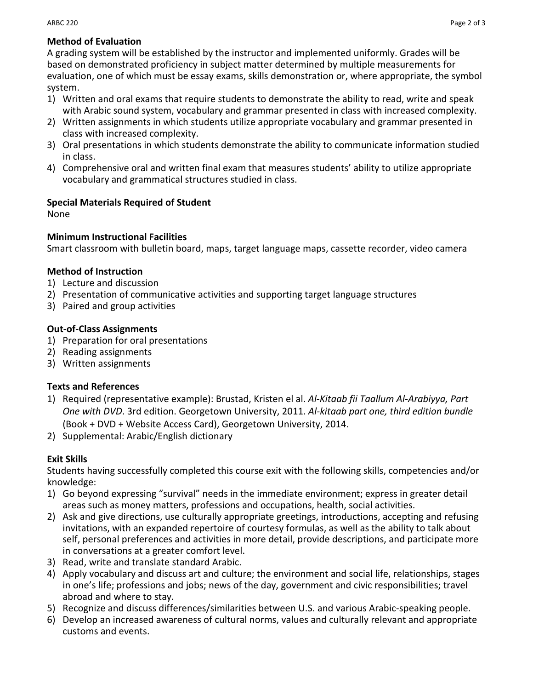# **Method of Evaluation**

A grading system will be established by the instructor and implemented uniformly. Grades will be based on demonstrated proficiency in subject matter determined by multiple measurements for evaluation, one of which must be essay exams, skills demonstration or, where appropriate, the symbol system.

- 1) Written and oral exams that require students to demonstrate the ability to read, write and speak with Arabic sound system, vocabulary and grammar presented in class with increased complexity.
- 2) Written assignments in which students utilize appropriate vocabulary and grammar presented in class with increased complexity.
- 3) Oral presentations in which students demonstrate the ability to communicate information studied in class.
- 4) Comprehensive oral and written final exam that measures students' ability to utilize appropriate vocabulary and grammatical structures studied in class.

# **Special Materials Required of Student**

None

#### **Minimum Instructional Facilities**

Smart classroom with bulletin board, maps, target language maps, cassette recorder, video camera

#### **Method of Instruction**

- 1) Lecture and discussion
- 2) Presentation of communicative activities and supporting target language structures
- 3) Paired and group activities

#### **Out-of-Class Assignments**

- 1) Preparation for oral presentations
- 2) Reading assignments
- 3) Written assignments

# **Texts and References**

- 1) Required (representative example): Brustad, Kristen el al. *Al-Kitaab fii Taallum Al-Arabiyya, Part One with DVD*. 3rd edition. Georgetown University, 2011. *Al-kitaab part one, third edition bundle* (Book + DVD + Website Access Card), Georgetown University, 2014.
- 2) Supplemental: Arabic/English dictionary

# **Exit Skills**

Students having successfully completed this course exit with the following skills, competencies and/or knowledge:

- 1) Go beyond expressing "survival" needs in the immediate environment; express in greater detail areas such as money matters, professions and occupations, health, social activities.
- 2) Ask and give directions, use culturally appropriate greetings, introductions, accepting and refusing invitations, with an expanded repertoire of courtesy formulas, as well as the ability to talk about self, personal preferences and activities in more detail, provide descriptions, and participate more in conversations at a greater comfort level.
- 3) Read, write and translate standard Arabic.
- 4) Apply vocabulary and discuss art and culture; the environment and social life, relationships, stages in one's life; professions and jobs; news of the day, government and civic responsibilities; travel abroad and where to stay.
- 5) Recognize and discuss differences/similarities between U.S. and various Arabic-speaking people.
- 6) Develop an increased awareness of cultural norms, values and culturally relevant and appropriate customs and events.